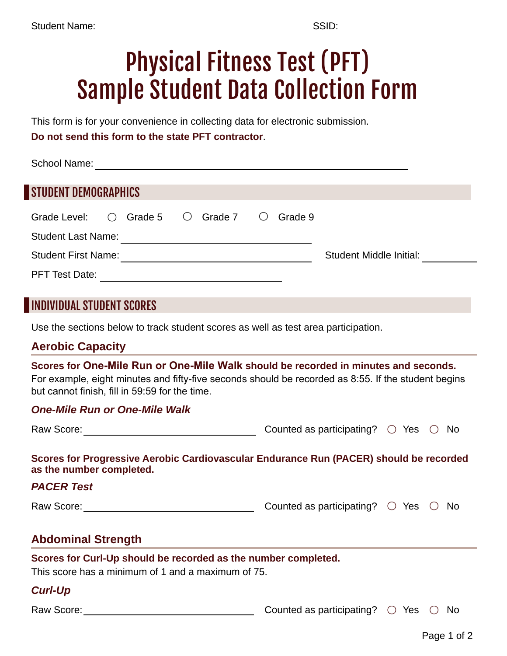# Physical Fitness Test (PFT) Sample Student Data Collection Form

This form is for your convenience in collecting data for electronic submission.

**Do not send this form to the state PFT contractor**.

| <b>School Name:</b>         |            |         |  |                               |  |         |                         |  |
|-----------------------------|------------|---------|--|-------------------------------|--|---------|-------------------------|--|
| <b>STUDENT DEMOGRAPHICS</b> |            |         |  |                               |  |         |                         |  |
| Grade Level:                | $\bigcirc$ | Grade 5 |  | $\bigcirc$ Grade 7 $\bigcirc$ |  | Grade 9 |                         |  |
| <b>Student Last Name:</b>   |            |         |  |                               |  |         |                         |  |
| <b>Student First Name:</b>  |            |         |  |                               |  |         | Student Middle Initial: |  |
| <b>PFT Test Date:</b>       |            |         |  |                               |  |         |                         |  |

## INDIVIDUAL STUDENT SCORES

Use the sections below to track student scores as well as test area participation.

#### **Aerobic Capacity**

**Scores for One-Mile Run or One-Mile Walk should be recorded in minutes and seconds.** For example, eight minutes and fifty-five seconds should be recorded as 8:55. If the student begins but cannot finish, fill in 59:59 for the time.

#### *One-Mile Run or One-Mile Walk*

| Raw Score: | Counted as participating? $\bigcirc$ Yes $\bigcirc$ No |  |  |  |
|------------|--------------------------------------------------------|--|--|--|
|            |                                                        |  |  |  |

**Scores for Progressive Aerobic Cardiovascular Endurance Run (PACER) should be recorded as the number completed.** 

#### *PACER Test*

Raw Score: Counted as participating as participating as participating as  $\sim$ 

| Counted as participating? $\bigcirc$ Yes $\bigcirc$ No |  |  |
|--------------------------------------------------------|--|--|
|--------------------------------------------------------|--|--|

## **Abdominal Strength**

#### **Scores for Curl-Up should be recorded as the number completed.**

This score has a minimum of 1 and a maximum of 75.

### *Curl-Up*

Raw Score: Counted as participating? ○ Yes ○ No